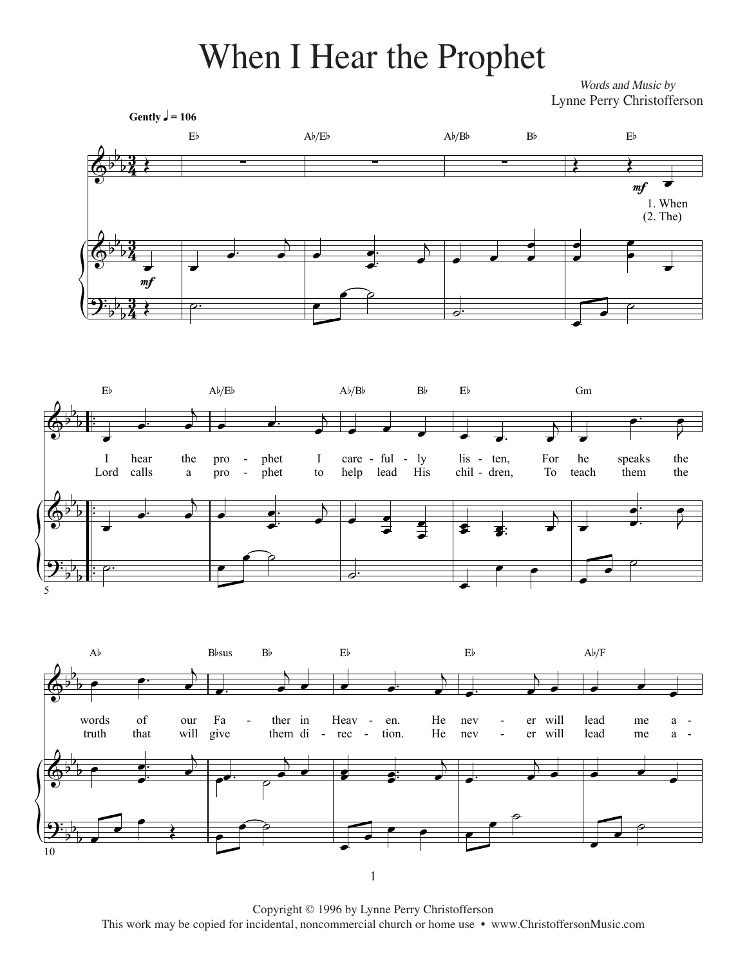## When I Hear the Prophet When I Hear the Prophet

*Words and Music by* words and Music by Words and Music by Lynne Perry Christofferson







This Edition Copyright © 2013 by Lynne Perry Christofferson Copyright © 1996 by Lynne Perry Christofferson This work may be copied for incidental, noncommercial church or home use • www.ChristoffersonMusic.com